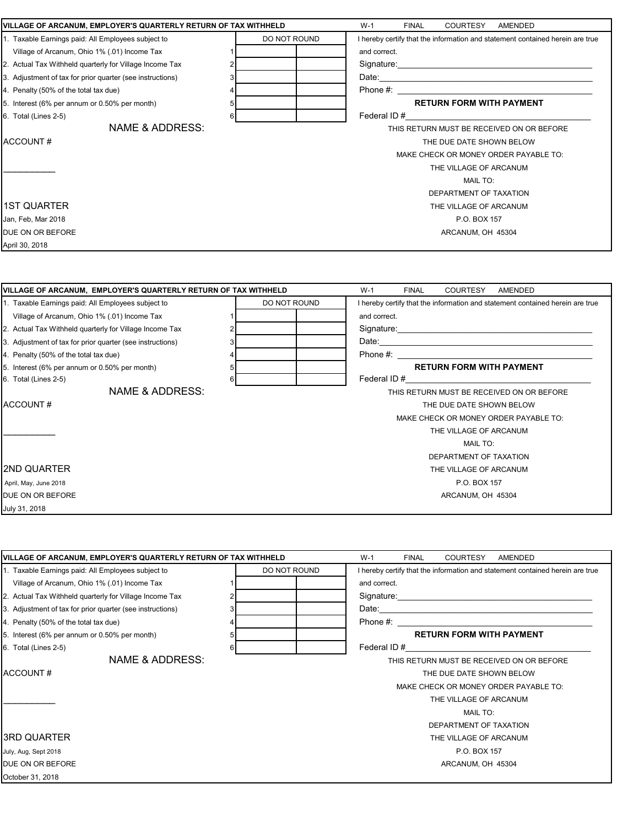|                                                                 | VILLAGE OF ARCANUM, EMPLOYER'S QUARTERLY RETURN OF TAX WITHHELD |                                                                                                                                                                                                                                |  |
|-----------------------------------------------------------------|-----------------------------------------------------------------|--------------------------------------------------------------------------------------------------------------------------------------------------------------------------------------------------------------------------------|--|
| 1. Taxable Earnings paid: All Employees subject to              | DO NOT ROUND                                                    | I hereby certify that the information and statement contained herein are true                                                                                                                                                  |  |
| Village of Arcanum, Ohio 1% (.01) Income Tax                    |                                                                 | and correct.                                                                                                                                                                                                                   |  |
| 2. Actual Tax Withheld quarterly for Village Income Tax         |                                                                 |                                                                                                                                                                                                                                |  |
| 3. Adjustment of tax for prior quarter (see instructions)       |                                                                 |                                                                                                                                                                                                                                |  |
| 4. Penalty (50% of the total tax due)                           |                                                                 | Phone $#$ :                                                                                                                                                                                                                    |  |
| 5. Interest (6% per annum or 0.50% per month)                   | 5                                                               | <b>RETURN FORM WITH PAYMENT</b>                                                                                                                                                                                                |  |
| 6. Total (Lines 2-5)                                            | 6                                                               | Federal ID # 2003 and 2004 and 2006 and 2006 and 2007 and 2008 and 2008 and 2008 and 2008 and 2008 and 2008 and 2008 and 2008 and 2008 and 2008 and 2008 and 2008 and 2008 and 2008 and 2008 and 2008 and 2008 and 2008 and 20 |  |
| <b>NAME &amp; ADDRESS:</b>                                      |                                                                 | THIS RETURN MUST BE RECEIVED ON OR BEFORE                                                                                                                                                                                      |  |
| ACCOUNT#                                                        |                                                                 | THE DUE DATE SHOWN BELOW                                                                                                                                                                                                       |  |
|                                                                 |                                                                 | MAKE CHECK OR MONEY ORDER PAYABLE TO:                                                                                                                                                                                          |  |
|                                                                 |                                                                 | THE VILLAGE OF ARCANUM                                                                                                                                                                                                         |  |
|                                                                 |                                                                 | <b>MAIL TO:</b>                                                                                                                                                                                                                |  |
|                                                                 |                                                                 | DEPARTMENT OF TAXATION                                                                                                                                                                                                         |  |
| <b>1ST QUARTER</b>                                              |                                                                 | THE VILLAGE OF ARCANUM                                                                                                                                                                                                         |  |
| Jan, Feb, Mar 2018                                              |                                                                 | P.O. BOX 157                                                                                                                                                                                                                   |  |
| DUE ON OR BEFORE                                                |                                                                 | ARCANUM, OH 45304                                                                                                                                                                                                              |  |
| April 30, 2018                                                  |                                                                 |                                                                                                                                                                                                                                |  |
| VILLAGE OF ARCANUM, EMPLOYER'S QUARTERLY RETURN OF TAX WITHHELD |                                                                 | $W-1$<br><b>FINAL</b><br>COURTESY<br>AMENDED                                                                                                                                                                                   |  |
| 1. Taxable Earnings paid: All Employees subject to              | DO NOT ROUND                                                    | I hereby certify that the information and statement contained herein are true                                                                                                                                                  |  |
| Village of Arcanum, Ohio 1% (.01) Income Tax                    |                                                                 | and correct.                                                                                                                                                                                                                   |  |
| 2. Actual Tax Withheld quarterly for Village Income Tax         |                                                                 |                                                                                                                                                                                                                                |  |
| 3. Adjustment of tax for prior quarter (see instructions)       |                                                                 |                                                                                                                                                                                                                                |  |
|                                                                 | 3                                                               |                                                                                                                                                                                                                                |  |
| 4. Penalty (50% of the total tax due)                           | 4                                                               |                                                                                                                                                                                                                                |  |
| 5. Interest (6% per annum or 0.50% per month)                   | 5                                                               | <b>RETURN FORM WITH PAYMENT</b>                                                                                                                                                                                                |  |
| 6. Total (Lines 2-5)                                            | 6                                                               | Federal ID # 2003 and 2004 and 2006 and 2006 and 2007 and 2008 and 2008 and 2008 and 2008 and 2008 and 2008 and 2008 and 2008 and 2008 and 2008 and 2008 and 2008 and 2008 and 2008 and 2008 and 2008 and 2008 and 2008 and 20 |  |
| <b>NAME &amp; ADDRESS:</b>                                      |                                                                 | THIS RETURN MUST BE RECEIVED ON OR BEFORE                                                                                                                                                                                      |  |
| ACCOUNT#                                                        |                                                                 | THE DUE DATE SHOWN BELOW                                                                                                                                                                                                       |  |
|                                                                 |                                                                 | MAKE CHECK OR MONEY ORDER PAYABLE TO:                                                                                                                                                                                          |  |
|                                                                 |                                                                 | THE VILLAGE OF ARCANUM                                                                                                                                                                                                         |  |
|                                                                 |                                                                 | <b>MAIL TO:</b>                                                                                                                                                                                                                |  |
|                                                                 |                                                                 | DEPARTMENT OF TAXATION                                                                                                                                                                                                         |  |
| <b>2ND QUARTER</b>                                              |                                                                 | THE VILLAGE OF ARCANUM                                                                                                                                                                                                         |  |
| April, May, June 2018                                           |                                                                 | P.O. BOX 157                                                                                                                                                                                                                   |  |
| DUE ON OR BEFORE                                                |                                                                 | ARCANUM, OH 45304                                                                                                                                                                                                              |  |

| VILLAGE OF ARCANUM, EMPLOYER'S QUARTERLY RETURN OF TAX WITHHELD | $W-1$<br><b>FINAL</b><br><b>COURTESY</b><br>AMENDED |                                                                 |                                                                               |  |  |  |
|-----------------------------------------------------------------|-----------------------------------------------------|-----------------------------------------------------------------|-------------------------------------------------------------------------------|--|--|--|
| 1. Taxable Earnings paid: All Employees subject to              |                                                     | DO NOT ROUND                                                    | I hereby certify that the information and statement contained herein are true |  |  |  |
| Village of Arcanum, Ohio 1% (.01) Income Tax                    |                                                     |                                                                 | and correct.                                                                  |  |  |  |
| 2. Actual Tax Withheld quarterly for Village Income Tax         |                                                     |                                                                 |                                                                               |  |  |  |
| 3. Adjustment of tax for prior quarter (see instructions)       |                                                     |                                                                 |                                                                               |  |  |  |
| 4. Penalty (50% of the total tax due)                           |                                                     |                                                                 | Phone #:                                                                      |  |  |  |
| 5. Interest (6% per annum or 0.50% per month)                   |                                                     |                                                                 | <b>RETURN FORM WITH PAYMENT</b>                                               |  |  |  |
| 6. Total (Lines 2-5)                                            |                                                     |                                                                 | Federal ID#                                                                   |  |  |  |
| NAME & ADDRESS:                                                 |                                                     |                                                                 | THIS RETURN MUST BE RECEIVED ON OR BEFORE                                     |  |  |  |
| ACCOUNT#                                                        |                                                     |                                                                 | THE DUE DATE SHOWN BELOW                                                      |  |  |  |
|                                                                 |                                                     | MAKE CHECK OR MONEY ORDER PAYABLE TO:<br>THE VILLAGE OF ARCANUM |                                                                               |  |  |  |
|                                                                 |                                                     |                                                                 |                                                                               |  |  |  |
|                                                                 |                                                     | <b>MAIL TO:</b>                                                 |                                                                               |  |  |  |
|                                                                 |                                                     |                                                                 | DEPARTMENT OF TAXATION                                                        |  |  |  |
| I3RD QUARTER                                                    |                                                     |                                                                 | THE VILLAGE OF ARCANUM                                                        |  |  |  |
| July, Aug, Sept 2018                                            |                                                     |                                                                 | P.O. BOX 157                                                                  |  |  |  |
| DUE ON OR BEFORE                                                |                                                     |                                                                 | ARCANUM, OH 45304                                                             |  |  |  |
| October 31, 2018                                                |                                                     |                                                                 |                                                                               |  |  |  |